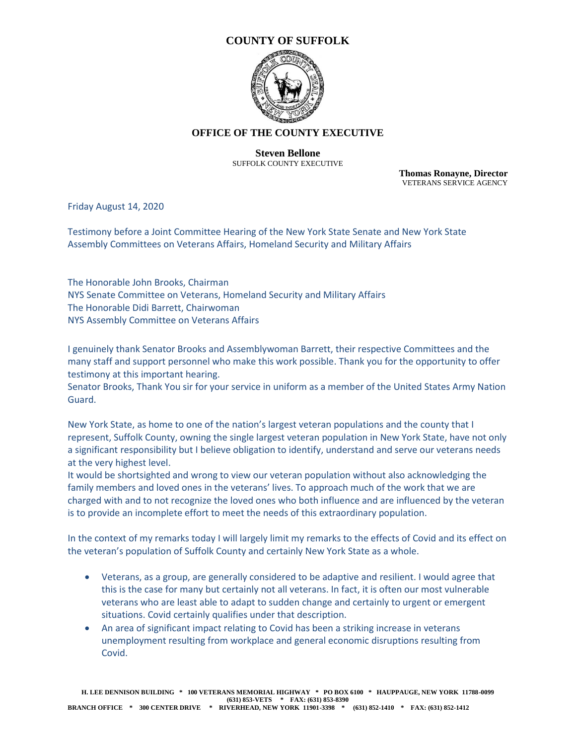

## **OFFICE OF THE COUNTY EXECUTIVE**

#### **Steven Bellone** SUFFOLK COUNTY EXECUTIVE

**Thomas Ronayne, Director** VETERANS SERVICE AGENCY

Friday August 14, 2020

Testimony before a Joint Committee Hearing of the New York State Senate and New York State Assembly Committees on Veterans Affairs, Homeland Security and Military Affairs

The Honorable John Brooks, Chairman NYS Senate Committee on Veterans, Homeland Security and Military Affairs The Honorable Didi Barrett, Chairwoman NYS Assembly Committee on Veterans Affairs

I genuinely thank Senator Brooks and Assemblywoman Barrett, their respective Committees and the many staff and support personnel who make this work possible. Thank you for the opportunity to offer testimony at this important hearing.

Senator Brooks, Thank You sir for your service in uniform as a member of the United States Army Nation Guard.

New York State, as home to one of the nation's largest veteran populations and the county that I represent, Suffolk County, owning the single largest veteran population in New York State, have not only a significant responsibility but I believe obligation to identify, understand and serve our veterans needs at the very highest level.

It would be shortsighted and wrong to view our veteran population without also acknowledging the family members and loved ones in the veterans' lives. To approach much of the work that we are charged with and to not recognize the loved ones who both influence and are influenced by the veteran is to provide an incomplete effort to meet the needs of this extraordinary population.

In the context of my remarks today I will largely limit my remarks to the effects of Covid and its effect on the veteran's population of Suffolk County and certainly New York State as a whole.

- Veterans, as a group, are generally considered to be adaptive and resilient. I would agree that this is the case for many but certainly not all veterans. In fact, it is often our most vulnerable veterans who are least able to adapt to sudden change and certainly to urgent or emergent situations. Covid certainly qualifies under that description.
- An area of significant impact relating to Covid has been a striking increase in veterans unemployment resulting from workplace and general economic disruptions resulting from Covid.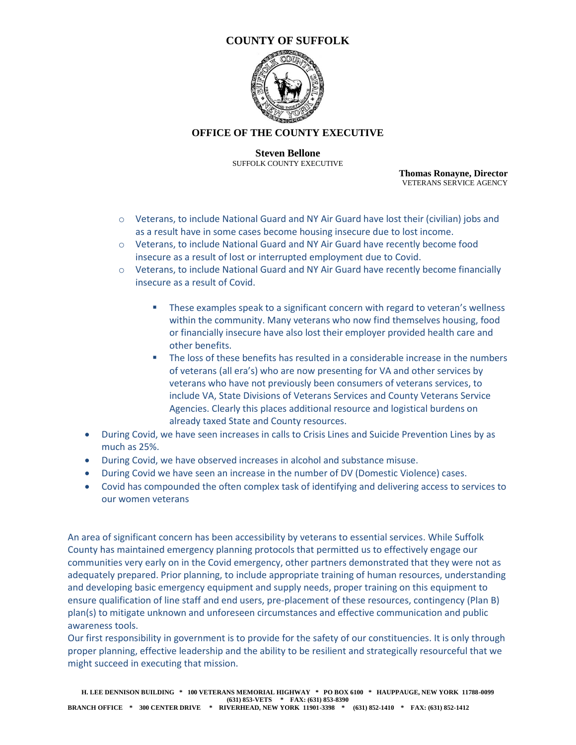

#### **OFFICE OF THE COUNTY EXECUTIVE**

**Steven Bellone** SUFFOLK COUNTY EXECUTIVE

**Thomas Ronayne, Director** VETERANS SERVICE AGENCY

- o Veterans, to include National Guard and NY Air Guard have lost their (civilian) jobs and as a result have in some cases become housing insecure due to lost income.
- o Veterans, to include National Guard and NY Air Guard have recently become food insecure as a result of lost or interrupted employment due to Covid.
- o Veterans, to include National Guard and NY Air Guard have recently become financially insecure as a result of Covid.
	- These examples speak to a significant concern with regard to veteran's wellness within the community. Many veterans who now find themselves housing, food or financially insecure have also lost their employer provided health care and other benefits.
	- The loss of these benefits has resulted in a considerable increase in the numbers of veterans (all era's) who are now presenting for VA and other services by veterans who have not previously been consumers of veterans services, to include VA, State Divisions of Veterans Services and County Veterans Service Agencies. Clearly this places additional resource and logistical burdens on already taxed State and County resources.
- During Covid, we have seen increases in calls to Crisis Lines and Suicide Prevention Lines by as much as 25%.
- During Covid, we have observed increases in alcohol and substance misuse.
- During Covid we have seen an increase in the number of DV (Domestic Violence) cases.
- Covid has compounded the often complex task of identifying and delivering access to services to our women veterans

An area of significant concern has been accessibility by veterans to essential services. While Suffolk County has maintained emergency planning protocols that permitted us to effectively engage our communities very early on in the Covid emergency, other partners demonstrated that they were not as adequately prepared. Prior planning, to include appropriate training of human resources, understanding and developing basic emergency equipment and supply needs, proper training on this equipment to ensure qualification of line staff and end users, pre-placement of these resources, contingency (Plan B) plan(s) to mitigate unknown and unforeseen circumstances and effective communication and public awareness tools.

Our first responsibility in government is to provide for the safety of our constituencies. It is only through proper planning, effective leadership and the ability to be resilient and strategically resourceful that we might succeed in executing that mission.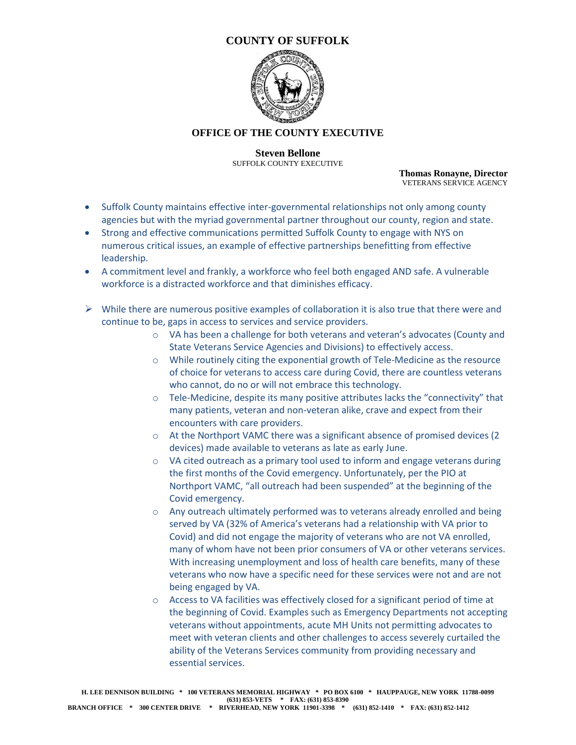

## **OFFICE OF THE COUNTY EXECUTIVE**

**Steven Bellone** SUFFOLK COUNTY EXECUTIVE

**Thomas Ronayne, Director** VETERANS SERVICE AGENCY

- Suffolk County maintains effective inter-governmental relationships not only among county agencies but with the myriad governmental partner throughout our county, region and state.
- Strong and effective communications permitted Suffolk County to engage with NYS on numerous critical issues, an example of effective partnerships benefitting from effective leadership.
- A commitment level and frankly, a workforce who feel both engaged AND safe. A vulnerable workforce is a distracted workforce and that diminishes efficacy.
- $\triangleright$  While there are numerous positive examples of collaboration it is also true that there were and continue to be, gaps in access to services and service providers.
	- o VA has been a challenge for both veterans and veteran's advocates (County and State Veterans Service Agencies and Divisions) to effectively access.
	- o While routinely citing the exponential growth of Tele-Medicine as the resource of choice for veterans to access care during Covid, there are countless veterans who cannot, do no or will not embrace this technology.
	- $\circ$  Tele-Medicine, despite its many positive attributes lacks the "connectivity" that many patients, veteran and non-veteran alike, crave and expect from their encounters with care providers.
	- o At the Northport VAMC there was a significant absence of promised devices (2 devices) made available to veterans as late as early June.
	- o VA cited outreach as a primary tool used to inform and engage veterans during the first months of the Covid emergency. Unfortunately, per the PIO at Northport VAMC, "all outreach had been suspended" at the beginning of the Covid emergency.
	- o Any outreach ultimately performed was to veterans already enrolled and being served by VA (32% of America's veterans had a relationship with VA prior to Covid) and did not engage the majority of veterans who are not VA enrolled, many of whom have not been prior consumers of VA or other veterans services. With increasing unemployment and loss of health care benefits, many of these veterans who now have a specific need for these services were not and are not being engaged by VA.
	- o Access to VA facilities was effectively closed for a significant period of time at the beginning of Covid. Examples such as Emergency Departments not accepting veterans without appointments, acute MH Units not permitting advocates to meet with veteran clients and other challenges to access severely curtailed the ability of the Veterans Services community from providing necessary and essential services.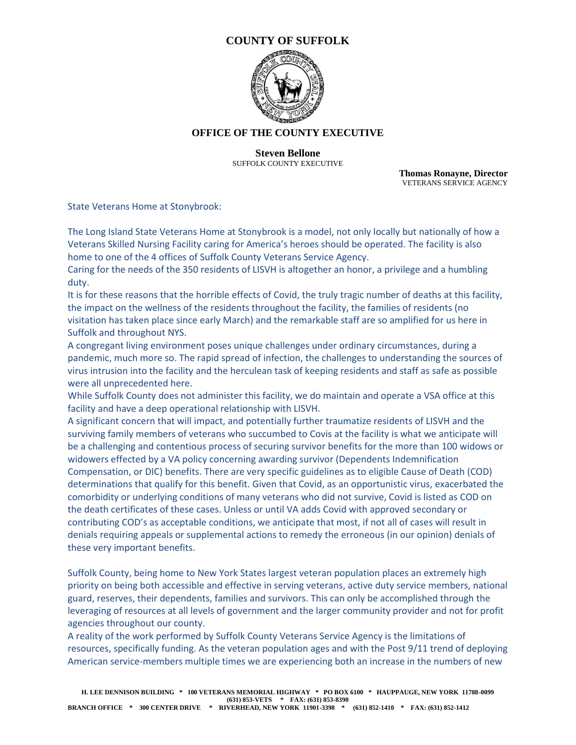

#### **OFFICE OF THE COUNTY EXECUTIVE**

**Steven Bellone** SUFFOLK COUNTY EXECUTIVE

**Thomas Ronayne, Director** VETERANS SERVICE AGENCY

State Veterans Home at Stonybrook:

The Long Island State Veterans Home at Stonybrook is a model, not only locally but nationally of how a Veterans Skilled Nursing Facility caring for America's heroes should be operated. The facility is also home to one of the 4 offices of Suffolk County Veterans Service Agency.

Caring for the needs of the 350 residents of LISVH is altogether an honor, a privilege and a humbling duty.

It is for these reasons that the horrible effects of Covid, the truly tragic number of deaths at this facility, the impact on the wellness of the residents throughout the facility, the families of residents (no visitation has taken place since early March) and the remarkable staff are so amplified for us here in Suffolk and throughout NYS.

A congregant living environment poses unique challenges under ordinary circumstances, during a pandemic, much more so. The rapid spread of infection, the challenges to understanding the sources of virus intrusion into the facility and the herculean task of keeping residents and staff as safe as possible were all unprecedented here.

While Suffolk County does not administer this facility, we do maintain and operate a VSA office at this facility and have a deep operational relationship with LISVH.

A significant concern that will impact, and potentially further traumatize residents of LISVH and the surviving family members of veterans who succumbed to Covis at the facility is what we anticipate will be a challenging and contentious process of securing survivor benefits for the more than 100 widows or widowers effected by a VA policy concerning awarding survivor (Dependents Indemnification Compensation, or DIC) benefits. There are very specific guidelines as to eligible Cause of Death (COD) determinations that qualify for this benefit. Given that Covid, as an opportunistic virus, exacerbated the comorbidity or underlying conditions of many veterans who did not survive, Covid is listed as COD on the death certificates of these cases. Unless or until VA adds Covid with approved secondary or contributing COD's as acceptable conditions, we anticipate that most, if not all of cases will result in denials requiring appeals or supplemental actions to remedy the erroneous (in our opinion) denials of these very important benefits.

Suffolk County, being home to New York States largest veteran population places an extremely high priority on being both accessible and effective in serving veterans, active duty service members, national guard, reserves, their dependents, families and survivors. This can only be accomplished through the leveraging of resources at all levels of government and the larger community provider and not for profit agencies throughout our county.

A reality of the work performed by Suffolk County Veterans Service Agency is the limitations of resources, specifically funding. As the veteran population ages and with the Post 9/11 trend of deploying American service-members multiple times we are experiencing both an increase in the numbers of new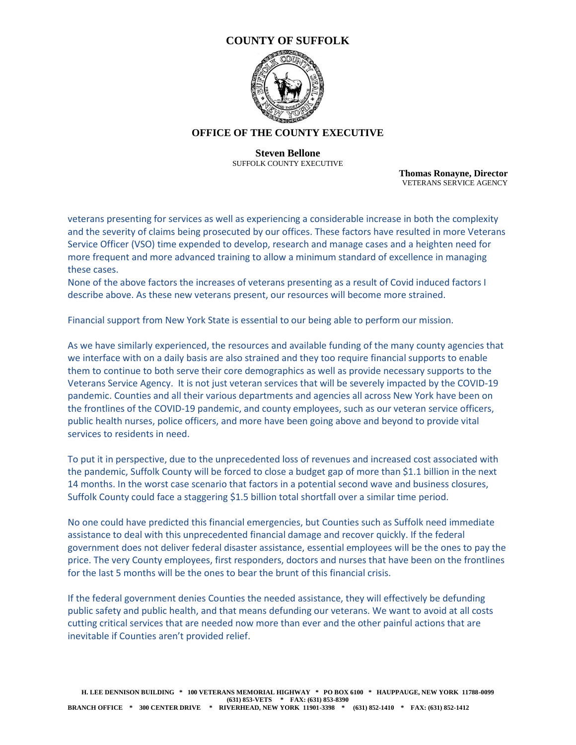

#### **OFFICE OF THE COUNTY EXECUTIVE**

**Steven Bellone** SUFFOLK COUNTY EXECUTIVE

**Thomas Ronayne, Director** VETERANS SERVICE AGENCY

veterans presenting for services as well as experiencing a considerable increase in both the complexity and the severity of claims being prosecuted by our offices. These factors have resulted in more Veterans Service Officer (VSO) time expended to develop, research and manage cases and a heighten need for more frequent and more advanced training to allow a minimum standard of excellence in managing these cases.

None of the above factors the increases of veterans presenting as a result of Covid induced factors I describe above. As these new veterans present, our resources will become more strained.

Financial support from New York State is essential to our being able to perform our mission.

As we have similarly experienced, the resources and available funding of the many county agencies that we interface with on a daily basis are also strained and they too require financial supports to enable them to continue to both serve their core demographics as well as provide necessary supports to the Veterans Service Agency. It is not just veteran services that will be severely impacted by the COVID-19 pandemic. Counties and all their various departments and agencies all across New York have been on the frontlines of the COVID-19 pandemic, and county employees, such as our veteran service officers, public health nurses, police officers, and more have been going above and beyond to provide vital services to residents in need.

To put it in perspective, due to the unprecedented loss of revenues and increased cost associated with the pandemic, Suffolk County will be forced to close a budget gap of more than \$1.1 billion in the next 14 months. In the worst case scenario that factors in a potential second wave and business closures, Suffolk County could face a staggering \$1.5 billion total shortfall over a similar time period.

No one could have predicted this financial emergencies, but Counties such as Suffolk need immediate assistance to deal with this unprecedented financial damage and recover quickly. If the federal government does not deliver federal disaster assistance, essential employees will be the ones to pay the price. The very County employees, first responders, doctors and nurses that have been on the frontlines for the last 5 months will be the ones to bear the brunt of this financial crisis.

If the federal government denies Counties the needed assistance, they will effectively be defunding public safety and public health, and that means defunding our veterans. We want to avoid at all costs cutting critical services that are needed now more than ever and the other painful actions that are inevitable if Counties aren't provided relief.